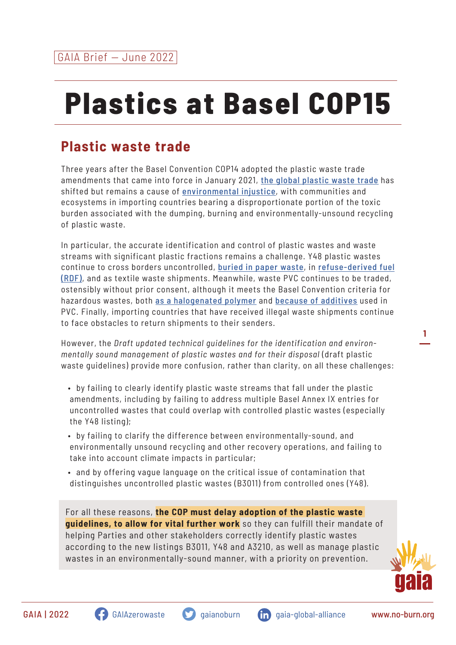## **Plastics at Basel COP15**

## **Plastic waste trade**

Three years after the Basel Convention COP14 adopted the plastic waste trade amendments that came into force in January 2021, [the global plastic waste trade](https://eia-international.org/report/the-truth-behind-trash-the-scale-and-impact-of-the-international-trade-in-plastic-waste) has shifted but remains a cause of [environmental injustice](https://www.no-burn.org/resources/discarded-communities-on-the-frontlines-of-the-global-plastic-crisis/), with communities and ecosystems in importing countries bearing a disproportionate portion of the toxic burden associated with the dumping, burning and environmentally-unsound recycling of plastic waste.

In particular, the accurate identification and control of plastic wastes and waste streams with significant plastic fractions remains a challenge. Y48 plastic wastes continue to cross borders uncontrolled, [buried in paper waste](https://www.cbc.ca/news/canada/montreal/enquete-recycling-plastics-montreal-1.6345558), in [refuse-derived fuel](https://ipen.org/news/plastic-waste-fuels) [\(RDF\)](https://ipen.org/news/plastic-waste-fuels), and as textile waste shipments. Meanwhile, waste PVC continues to be traded, ostensibly without prior consent, although it meets the Basel Convention criteria for hazardous wastes, both [as a halogenated polymer](https://myemail.constantcontact.com/Plastic-Waste-Trade-Violations.html?soid=1114999858498&aid=TjuIS3s34Ao) and [because of additives](https://op.europa.eu/en/publication-detail/-/publication/e9e7684a-906b-11ec-b4e4-01aa75ed71a1/language-en) used in PVC. Finally, importing countries that have received illegal waste shipments continue to face obstacles to return shipments to their senders.

However, the *Draft updated technical guidelines for the identification and environmentally sound management of plastic wastes and for their disposal* (draft plastic waste guidelines) provide more confusion, rather than clarity, on all these challenges:

- by failing to clearly identify plastic waste streams that fall under the plastic amendments, including by failing to address multiple Basel Annex IX entries for uncontrolled wastes that could overlap with controlled plastic wastes (especially the Y48 listing);
- by failing to clarify the difference between environmentally-sound, and environmentally unsound recycling and other recovery operations, and failing to take into account climate impacts in particular;
- and by offering vague language on the critical issue of contamination that distinguishes uncontrolled plastic wastes (B3011) from controlled ones (Y48).

For all these reasons, **the COP must delay adoption of the plastic waste guidelines, to allow for vital further work** so they can fulfill their mandate of helping Parties and other stakeholders correctly identify plastic wastes according to the new listings B3011, Y48 and A3210, as well as manage plastic wastes in an environmentally-sound manner, with a priority on prevention.



**1**



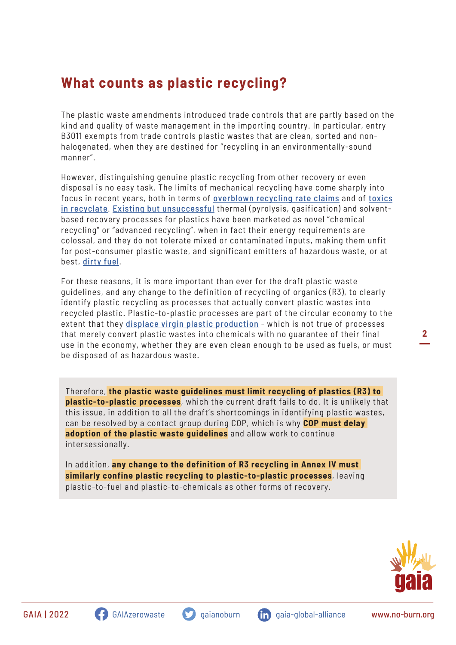## **What counts as plastic recycling?**

The plastic waste amendments introduced trade controls that are partly based on the kind and quality of waste management in the importing country. In particular, entry B3011 exempts from trade controls plastic wastes that are clean, sorted and nonhalogenated, when they are destined for "recycling in an environmentally-sound manner".

However, distinguishing genuine plastic recycling from other recovery or even disposal is no easy task. The limits of mechanical recycling have come sharply into focus in recent years, both in terms of [overblown recycling rate claims](https://static1.squarespace.com/static/5eda91260bbb7e7a4bf528d8/t/62726edceb7cc742d53eb073/1651666652743/The+Real+Truth+about+the+U.S.+Plastic+Recycling+Rate+2021+Facts+and+Figures+_5-4-22.pdf) and of [toxics](https://ipen.org/documents/widespread-chemical-contamination-recycled-plastic-pellets-globally) [in recyclate](https://ipen.org/documents/widespread-chemical-contamination-recycled-plastic-pellets-globally). [Existing but unsuccessful](https://www.no-burn.org/wp-content/uploads/2021/11/CR-Technical-Assessment_June-2020_for-printing-1.pdf) thermal (pyrolysis, gasification) and solventbased recovery processes for plastics have been marketed as novel "chemical recycling" or "advanced recycling", when in fact their energy requirements are colossal, and they do not tolerate mixed or contaminated inputs, making them unfit for post-consumer plastic waste, and significant emitters of hazardous waste, or at best, [dirty fuel](https://www.no-burn.org/wp-content/uploads/2022/03/PTF_a-losing-proposition_March-2-2022.pdf).

For these reasons, it is more important than ever for the draft plastic waste guidelines, and any change to the definition of recycling of organics (R3), to clearly identify plastic recycling as processes that actually convert plastic wastes into recycled plastic. Plastic-to-plastic processes are part of the circular economy to the extent that they [displace virgin plastic production](https://www.sciencedirect.com/science/article/pii/B9780128178805000025) - which is not true of processes that merely convert plastic wastes into chemicals with no guarantee of their final use in the economy, whether they are even clean enough to be used as fuels, or must be disposed of as hazardous waste.

Therefore, **the plastic waste guidelines must limit recycling of plastics (R3) to plastic-to-plastic processes**, which the current draft fails to do. It is unlikely that this issue, in addition to all the draft's shortcomings in identifying plastic wastes, can be resolved by a contact group during COP, which is why **COP must delay adoption of the plastic waste guidelines** and allow work to continue intersessionally.

In addition, **any change to the definition of R3 recycling in Annex IV must similarly confine plastic recycling to plastic-to-plastic processes**, leaving plastic-to-fuel and plastic-to-chemicals as other forms of recovery.